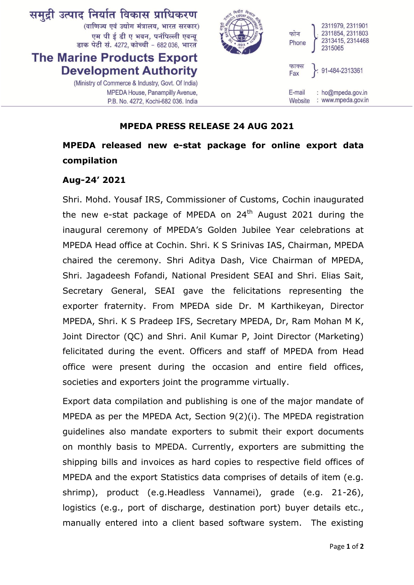

## **MPEDA PRESS RELEASE 24 AUG 2021**

## **MPEDA released new e-stat package for online export data compilation**

## **Aug-24' 2021**

Shri. Mohd. Yousaf IRS, Commissioner of Customs, Cochin inaugurated the new e-stat package of MPEDA on  $24<sup>th</sup>$  August 2021 during the inaugural ceremony of MPEDA's Golden Jubilee Year celebrations at MPEDA Head office at Cochin. Shri. K S Srinivas IAS, Chairman, MPEDA chaired the ceremony. Shri Aditya Dash, Vice Chairman of MPEDA, Shri. Jagadeesh Fofandi, National President SEAI and Shri. Elias Sait, Secretary General, SEAI gave the felicitations representing the exporter fraternity. From MPEDA side Dr. M Karthikeyan, Director MPEDA, Shri. K S Pradeep IFS, Secretary MPEDA, Dr, Ram Mohan M K, Joint Director (QC) and Shri. Anil Kumar P, Joint Director (Marketing) felicitated during the event. Officers and staff of MPEDA from Head office were present during the occasion and entire field offices, societies and exporters joint the programme virtually.

Export data compilation and publishing is one of the major mandate of MPEDA as per the MPEDA Act, Section 9(2)(i). The MPEDA registration guidelines also mandate exporters to submit their export documents on monthly basis to MPEDA. Currently, exporters are submitting the shipping bills and invoices as hard copies to respective field offices of MPEDA and the export Statistics data comprises of details of item (e.g. shrimp), product (e.g.Headless Vannamei), grade (e.g. 21-26), logistics (e.g., port of discharge, destination port) buyer details etc., manually entered into a client based software system. The existing